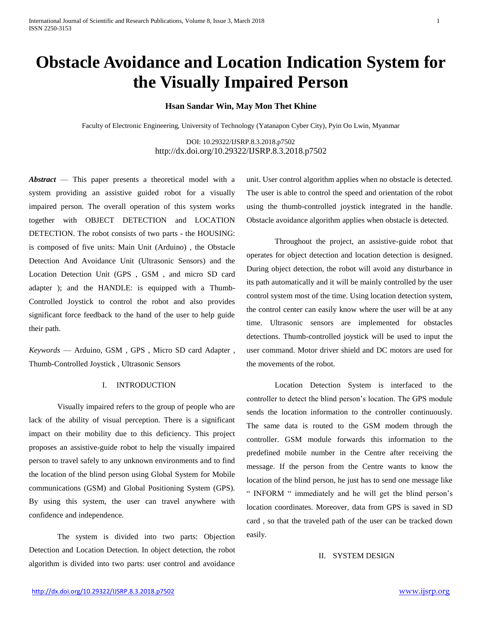# **Obstacle Avoidance and Location Indication System for the Visually Impaired Person**

# **Hsan Sandar Win, May Mon Thet Khine**

Faculty of Electronic Engineering, University of Technology (Yatanapon Cyber City), Pyin Oo Lwin, Myanmar

DOI: 10.29322/IJSRP.8.3.2018.p7502 <http://dx.doi.org/10.29322/IJSRP.8.3.2018.p7502>

*Abstract* — This paper presents a theoretical model with a system providing an assistive guided robot for a visually impaired person. The overall operation of this system works together with OBJECT DETECTION and LOCATION DETECTION. The robot consists of two parts - the HOUSING: is composed of five units: Main Unit (Arduino) , the Obstacle Detection And Avoidance Unit (Ultrasonic Sensors) and the Location Detection Unit (GPS , GSM , and micro SD card adapter ); and the HANDLE: is equipped with a Thumb-Controlled Joystick to control the robot and also provides significant force feedback to the hand of the user to help guide their path.

*Keywords* — Arduino, GSM , GPS , Micro SD card Adapter , Thumb-Controlled Joystick , Ultrasonic Sensors

# I. INTRODUCTION

Visually impaired refers to the group of people who are lack of the ability of visual perception. There is a significant impact on their mobility due to this deficiency. This project proposes an assistive-guide robot to help the visually impaired person to travel safely to any unknown environments and to find the location of the blind person using Global System for Mobile communications (GSM) and Global Positioning System (GPS). By using this system, the user can travel anywhere with confidence and independence.

The system is divided into two parts: Objection Detection and Location Detection. In object detection, the robot algorithm is divided into two parts: user control and avoidance unit. User control algorithm applies when no obstacle is detected. The user is able to control the speed and orientation of the robot using the thumb-controlled joystick integrated in the handle. Obstacle avoidance algorithm applies when obstacle is detected.

Throughout the project, an assistive-guide robot that operates for object detection and location detection is designed. During object detection, the robot will avoid any disturbance in its path automatically and it will be mainly controlled by the user control system most of the time. Using location detection system, the control center can easily know where the user will be at any time. Ultrasonic sensors are implemented for obstacles detections. Thumb-controlled joystick will be used to input the user command. Motor driver shield and DC motors are used for the movements of the robot.

Location Detection System is interfaced to the controller to detect the blind person's location. The GPS module sends the location information to the controller continuously. The same data is routed to the GSM modem through the controller. GSM module forwards this information to the predefined mobile number in the Centre after receiving the message. If the person from the Centre wants to know the location of the blind person, he just has to send one message like " INFORM " immediately and he will get the blind person's location coordinates. Moreover, data from GPS is saved in SD card , so that the traveled path of the user can be tracked down easily.

### II. SYSTEM DESIGN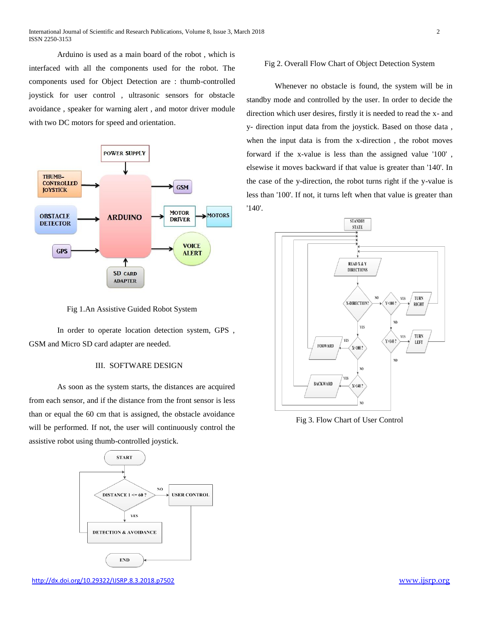Arduino is used as a main board of the robot , which is interfaced with all the components used for the robot. The components used for Object Detection are : thumb-controlled joystick for user control , ultrasonic sensors for obstacle avoidance , speaker for warning alert , and motor driver module with two DC motors for speed and orientation.



Fig 1.An Assistive Guided Robot System

In order to operate location detection system, GPS , GSM and Micro SD card adapter are needed.

## III. SOFTWARE DESIGN

As soon as the system starts, the distances are acquired from each sensor, and if the distance from the front sensor is less than or equal the 60 cm that is assigned, the obstacle avoidance will be performed. If not, the user will continuously control the assistive robot using thumb-controlled joystick.



#### Fig 2. Overall Flow Chart of Object Detection System

Whenever no obstacle is found, the system will be in standby mode and controlled by the user. In order to decide the direction which user desires, firstly it is needed to read the x- and y- direction input data from the joystick. Based on those data , when the input data is from the x-direction , the robot moves forward if the x-value is less than the assigned value '100' , elsewise it moves backward if that value is greater than '140'. In the case of the y-direction, the robot turns right if the y-value is less than '100'. If not, it turns left when that value is greater than '140'.



Fig 3. Flow Chart of User Control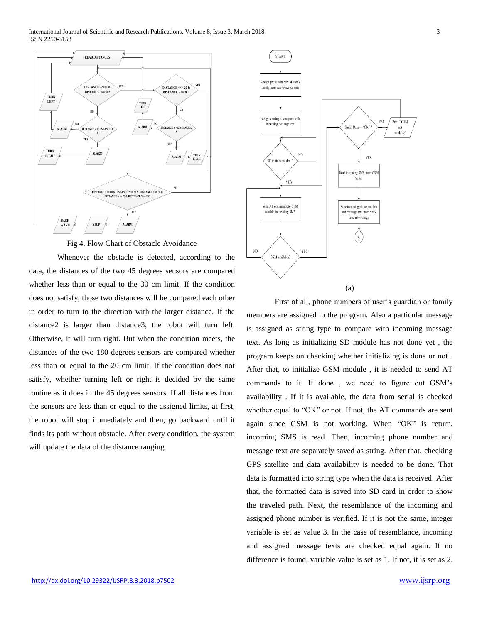

Fig 4. Flow Chart of Obstacle Avoidance

Whenever the obstacle is detected, according to the data, the distances of the two 45 degrees sensors are compared whether less than or equal to the 30 cm limit. If the condition does not satisfy, those two distances will be compared each other in order to turn to the direction with the larger distance. If the distance2 is larger than distance3, the robot will turn left. Otherwise, it will turn right. But when the condition meets, the distances of the two 180 degrees sensors are compared whether less than or equal to the 20 cm limit. If the condition does not satisfy, whether turning left or right is decided by the same routine as it does in the 45 degrees sensors. If all distances from the sensors are less than or equal to the assigned limits, at first, the robot will stop immediately and then, go backward until it finds its path without obstacle. After every condition, the system will update the data of the distance ranging.



First of all, phone numbers of user's guardian or family members are assigned in the program. Also a particular message is assigned as string type to compare with incoming message text. As long as initializing SD module has not done yet , the program keeps on checking whether initializing is done or not . After that, to initialize GSM module , it is needed to send AT commands to it. If done , we need to figure out GSM's availability . If it is available, the data from serial is checked whether equal to "OK" or not. If not, the AT commands are sent again since GSM is not working. When "OK" is return, incoming SMS is read. Then, incoming phone number and message text are separately saved as string. After that, checking GPS satellite and data availability is needed to be done. That data is formatted into string type when the data is received. After that, the formatted data is saved into SD card in order to show the traveled path. Next, the resemblance of the incoming and assigned phone number is verified. If it is not the same, integer variable is set as value 3. In the case of resemblance, incoming and assigned message texts are checked equal again. If no difference is found, variable value is set as 1. If not, it is set as 2.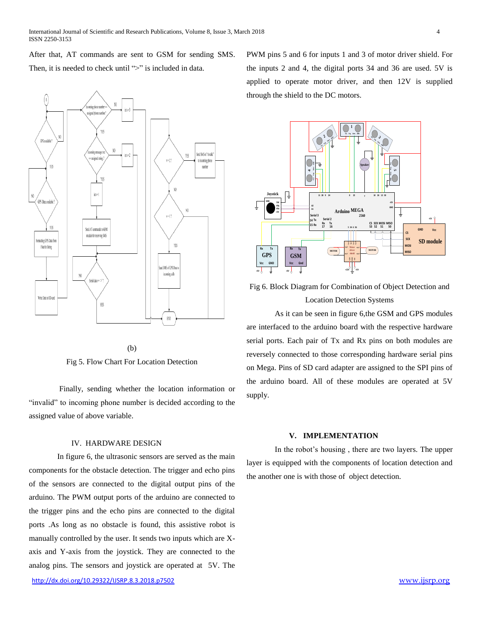After that, AT commands are sent to GSM for sending SMS. Then, it is needed to check until ">" is included in data.



(b)

Fig 5. Flow Chart For Location Detection

Finally, sending whether the location information or "invalid" to incoming phone number is decided according to the assigned value of above variable.

# IV. HARDWARE DESIGN

<http://dx.doi.org/10.29322/IJSRP.8.3.2018.p7502> [www.ijsrp.org](http://ijsrp.org/) In figure 6, the ultrasonic sensors are served as the main components for the obstacle detection. The trigger and echo pins of the sensors are connected to the digital output pins of the arduino. The PWM output ports of the arduino are connected to the trigger pins and the echo pins are connected to the digital ports .As long as no obstacle is found, this assistive robot is manually controlled by the user. It sends two inputs which are Xaxis and Y-axis from the joystick. They are connected to the analog pins. The sensors and joystick are operated at 5V. The

PWM pins 5 and 6 for inputs 1 and 3 of motor driver shield. For the inputs 2 and 4, the digital ports 34 and 36 are used. 5V is applied to operate motor driver, and then 12V is supplied through the shield to the DC motors.



Fig 6. Block Diagram for Combination of Object Detection and Location Detection Systems

As it can be seen in figure 6,the GSM and GPS modules are interfaced to the arduino board with the respective hardware serial ports. Each pair of Tx and Rx pins on both modules are reversely connected to those corresponding hardware serial pins on Mega. Pins of SD card adapter are assigned to the SPI pins of the arduino board. All of these modules are operated at 5V supply.

#### **V. IMPLEMENTATION**

In the robot's housing , there are two layers. The upper layer is equipped with the components of location detection and the another one is with those of object detection.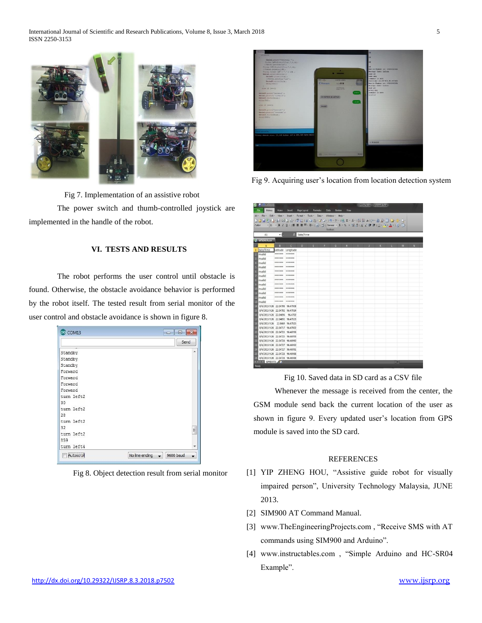

Fig 7. Implementation of an assistive robot

The power switch and thumb-controlled joystick are implemented in the handle of the robot.

## **VI. TESTS AND RESULTS**

The robot performs the user control until obstacle is found. Otherwise, the obstacle avoidance behavior is performed by the robot itself. The tested result from serial monitor of the user control and obstacle avoidance is shown in figure 8.



Fig 8. Object detection result from serial monitor



Fig 9. Acquiring user's location from location detection system

| Menus  <br><b>File</b>                                                      | Home            | Insert             | Page Layout        | Formulas  | Data | <b>Review</b> | View |   |   |   |   |    |
|-----------------------------------------------------------------------------|-----------------|--------------------|--------------------|-----------|------|---------------|------|---|---|---|---|----|
| All - File - Edit - View - Insert - Format - Tools - Data - Window - Help - |                 |                    |                    |           |      |               |      |   |   |   |   |    |
| 13月31日-山路13日では18日3-92-19-0-188-4-19号 a 12-4回 T13-0-2-                       |                 |                    |                    |           |      |               |      |   |   |   |   |    |
|                                                                             |                 |                    |                    |           |      |               |      |   |   |   |   |    |
|                                                                             |                 |                    |                    |           |      | Toolbars      |      |   |   |   |   |    |
| A1                                                                          | $ -$            |                    | <b>Z</b> Date/Time |           |      |               |      |   |   |   |   |    |
| <b>GPSDATA.csv</b>                                                          |                 |                    |                    |           |      |               |      |   |   |   |   |    |
| $\Lambda$                                                                   | R               | $\epsilon$         | $\mathbf{D}$       | <b>F.</b> | F.   | G             | H    | ٠ | K | œ | M | N. |
| 1 Date/Time                                                                 |                 | Latitude Longitude |                    |           |      |               |      |   |   |   |   |    |
| invalid                                                                     | *******         | *******            |                    |           |      |               |      |   |   |   |   |    |
| Invalid                                                                     | *******         | *******            |                    |           |      |               |      |   |   |   |   |    |
| <b>Allinvalid</b>                                                           | *******         | *******            |                    |           |      |               |      |   |   |   |   |    |
| linvalid                                                                    | *******         | *******            |                    |           |      |               |      |   |   |   |   |    |
| <b>R</b> invalid                                                            | <b>HERREE</b>   | 28888888           |                    |           |      |               |      |   |   |   |   |    |
| linvalid                                                                    | ******* ******* |                    |                    |           |      |               |      |   |   |   |   |    |
| linvalid                                                                    | ARABARA ASARARA |                    |                    |           |      |               |      |   |   |   |   |    |
| invalid                                                                     | ******* ******* |                    |                    |           |      |               |      |   |   |   |   |    |
| 109 invalid                                                                 | *******         | *******            |                    |           |      |               |      |   |   |   |   |    |
| invalid                                                                     |                 | *******            |                    |           |      |               |      |   |   |   |   |    |
| invalid                                                                     | *******         | 111111111          |                    |           |      |               |      |   |   |   |   |    |
| invalid                                                                     | ******* ******* |                    |                    |           |      |               |      |   |   |   |   |    |
| 8/4/2015 9:26 22.04708 96.47008                                             |                 |                    |                    |           |      |               |      |   |   |   |   |    |
| 8/4/2015 9:26 22.04702 96.47014                                             |                 |                    |                    |           |      |               |      |   |   |   |   |    |
| 8/4/2015 9:26 22:04696 96.4702                                              |                 |                    |                    |           |      |               |      |   |   |   |   |    |
| 8/4/2015 9:26 22.04692 96.47023                                             |                 |                    |                    |           |      |               |      |   |   |   |   |    |
| 8/4/2015 9:26 22.0469 96.47025                                              |                 |                    |                    |           |      |               |      |   |   |   |   |    |
| 8/4/2015 9:26 22.04717 96.47002                                             |                 |                    |                    |           |      |               |      |   |   |   |   |    |
| 8/4/2015 9:26 22.04723 96.46996                                             |                 |                    |                    |           |      |               |      |   |   |   |   |    |
| 8/4/2015 9:26 22.04725 96.46993                                             |                 |                    |                    |           |      |               |      |   |   |   |   |    |
| 8/4/2015 9:26 22.04726 96.46992                                             |                 |                    |                    |           |      |               |      |   |   |   |   |    |
| 8/4/2015 9:26 22.04727 96.46992                                             |                 |                    |                    |           |      |               |      |   |   |   |   |    |
| 8/4/2015 9:26 22.04727 96.46991                                             |                 |                    |                    |           |      |               |      |   |   |   |   |    |
| 8/4/2015 9:26 22.04728 96.46988                                             |                 |                    |                    |           |      |               |      |   |   |   |   |    |
| 8/4/2015 9:26 22.04728 96.46988                                             |                 |                    |                    |           |      |               |      |   |   |   |   |    |

Fig 10. Saved data in SD card as a CSV file

Whenever the message is received from the center, the GSM module send back the current location of the user as shown in figure 9. Every updated user's location from GPS module is saved into the SD card.

## REFERENCES

- [1] YIP ZHENG HOU, "Assistive guide robot for visually impaired person", University Technology Malaysia, JUNE 2013.
- [2] SIM900 AT Command Manual.
- [3] www.TheEngineeringProjects.com , "Receive SMS with AT commands using SIM900 and Arduino".
- [4] www.instructables.com , "Simple Arduino and HC-SR04 Example".